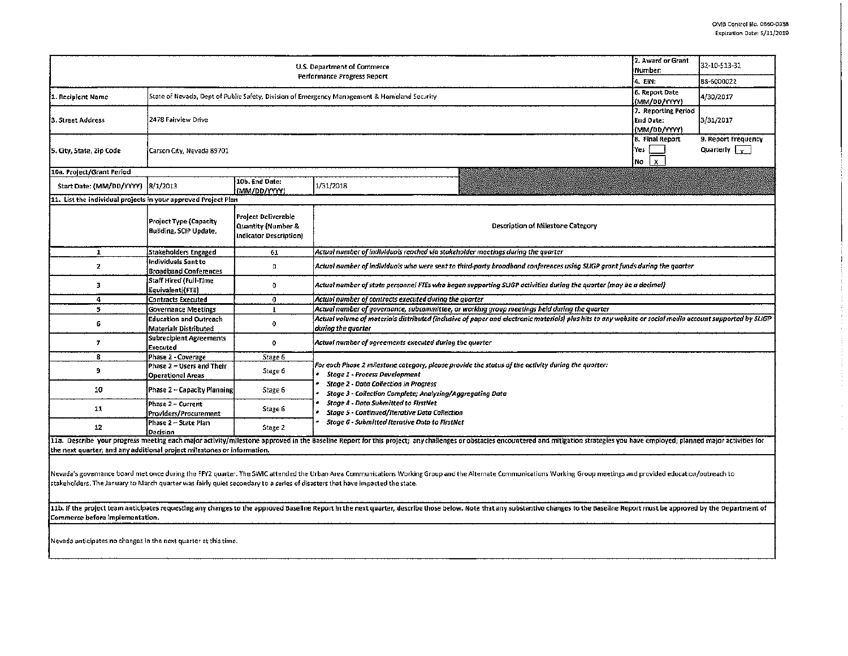$\sim$  $\sim$  $\sim$ 

| U.S. Department of Commerce<br>Performance Progress Report                                                                                                                                                                     |                                                                                              |                                                                            |                                                                                                                                                                                                                                                                                                                                                                                                           |                                                  | 32-10-513-32<br>88-6000022                  |  |  |  |  |  |
|--------------------------------------------------------------------------------------------------------------------------------------------------------------------------------------------------------------------------------|----------------------------------------------------------------------------------------------|----------------------------------------------------------------------------|-----------------------------------------------------------------------------------------------------------------------------------------------------------------------------------------------------------------------------------------------------------------------------------------------------------------------------------------------------------------------------------------------------------|--------------------------------------------------|---------------------------------------------|--|--|--|--|--|
| 1. Recipient Name                                                                                                                                                                                                              | State of Nevada, Dept of Public Safety, Division of Emergency Management & Homeland Security | 4. EIN:<br>6. Report Date<br>(MM/DD/YYYY)                                  | 4/30/2017                                                                                                                                                                                                                                                                                                                                                                                                 |                                                  |                                             |  |  |  |  |  |
| 3. Street Address                                                                                                                                                                                                              | 2478 Fairview Drive                                                                          |                                                                            |                                                                                                                                                                                                                                                                                                                                                                                                           | 7. Reporting Period<br>End Date:<br>(MM/DD/YYYY) | 3/31/2017                                   |  |  |  |  |  |
| 5. City, State, Zip Code                                                                                                                                                                                                       | Carson City, Nevada 89701                                                                    |                                                                            |                                                                                                                                                                                                                                                                                                                                                                                                           | 8. Final Report<br>Yes<br>$\mathbf{x}$<br>No     | 9. Report Frequency<br>Quarterly $\sqrt{x}$ |  |  |  |  |  |
| 10a. Project/Grant Period                                                                                                                                                                                                      |                                                                                              |                                                                            |                                                                                                                                                                                                                                                                                                                                                                                                           |                                                  |                                             |  |  |  |  |  |
| Start Date: (MM/DD/YYYY)                                                                                                                                                                                                       | 8/1/2013                                                                                     | 10b. End Date:<br>(MM/DD/YYYY)                                             | 1/31/2018                                                                                                                                                                                                                                                                                                                                                                                                 |                                                  |                                             |  |  |  |  |  |
| 11. List the individual projects in your approved Project Plan                                                                                                                                                                 |                                                                                              |                                                                            |                                                                                                                                                                                                                                                                                                                                                                                                           |                                                  |                                             |  |  |  |  |  |
|                                                                                                                                                                                                                                | <b>Project Type (Capacity</b><br>Building, SCIP Update,                                      | Project Deliverable<br>Quantity (Number &<br><b>Indicator Description)</b> | Description of Milestone Category                                                                                                                                                                                                                                                                                                                                                                         |                                                  |                                             |  |  |  |  |  |
| $\mathbf{1}$                                                                                                                                                                                                                   | <b>Stakeholders Engaged</b>                                                                  | 61                                                                         | Actual number of individuals reached via stakeholder meetings during the quarter                                                                                                                                                                                                                                                                                                                          |                                                  |                                             |  |  |  |  |  |
| 2                                                                                                                                                                                                                              | Individuals Sent to<br><b>Broadband Conferences</b>                                          | o                                                                          | Actual number of individuals who were sent to third-party broadband conferences using SLIGP grant funds during the quarter.                                                                                                                                                                                                                                                                               |                                                  |                                             |  |  |  |  |  |
| 3                                                                                                                                                                                                                              | Staff Hired (Full-Time<br>Equivalent)(FTE)                                                   | 0                                                                          | Actual number of state personnel FTEs who began supporting SLIGP activities during the quarter (may be a decimal)                                                                                                                                                                                                                                                                                         |                                                  |                                             |  |  |  |  |  |
| 4                                                                                                                                                                                                                              | <b>Contracts Executed</b>                                                                    | $\bf{0}$                                                                   | Actual number of contracts executed during the quarter                                                                                                                                                                                                                                                                                                                                                    |                                                  |                                             |  |  |  |  |  |
| 5                                                                                                                                                                                                                              | <b>Governance Meetings</b>                                                                   | $\mathbf{1}$                                                               | Actual number of governance, subcammittee, or working group meetings held during the quarter                                                                                                                                                                                                                                                                                                              |                                                  |                                             |  |  |  |  |  |
| 6                                                                                                                                                                                                                              | <b>Education and Outreach</b><br>Materials Distributed                                       | $\mathbf{0}$                                                               | Actual volume of moterials distributed (inclusive of paper and electronic materials) plus hits to any website or social media account supported by SLIGP<br>during the quorter                                                                                                                                                                                                                            |                                                  |                                             |  |  |  |  |  |
| $\tau$                                                                                                                                                                                                                         | <b>Subrecipient Agreements</b><br>Executed                                                   | 0                                                                          | Actual number of agreements executed during the quarter                                                                                                                                                                                                                                                                                                                                                   |                                                  |                                             |  |  |  |  |  |
| 8                                                                                                                                                                                                                              | Phase 2 - Coverage                                                                           | Stage 6                                                                    |                                                                                                                                                                                                                                                                                                                                                                                                           |                                                  |                                             |  |  |  |  |  |
| 9                                                                                                                                                                                                                              | Phase 2 - Users and Their<br>Operational Areas                                               | Stage 6                                                                    | For each Phase 2 milestone category, please provide the status of the activity during the quarter:<br>Stage 1 - Process Development<br><b>Stage 2 - Data Collection in Progress</b><br><b>Stage 3 - Collection Complete; Analyzing/Aggregating Data</b><br>Stage 4 - Data Submitted to FirstNet<br>Stage 5 - Continued/Iterative Data Collection<br><b>Stage 6 - Submitted Iterative Data to FirstNet</b> |                                                  |                                             |  |  |  |  |  |
| 10                                                                                                                                                                                                                             | Phase $2 -$ Capacity Planning                                                                | Stage 6                                                                    |                                                                                                                                                                                                                                                                                                                                                                                                           |                                                  |                                             |  |  |  |  |  |
| 11                                                                                                                                                                                                                             | Phase 2 - Current<br>Providers/Procurement                                                   | Stage 6                                                                    |                                                                                                                                                                                                                                                                                                                                                                                                           |                                                  |                                             |  |  |  |  |  |
| 12                                                                                                                                                                                                                             | Phase 2 - State Plan<br>Decision                                                             | Stage 2                                                                    |                                                                                                                                                                                                                                                                                                                                                                                                           |                                                  |                                             |  |  |  |  |  |
| 11a. Describe your progress meeting each major activity/milestone approved in the Baseline Report for this project; any challenges or obstacles encountered and mitigation strategies you have employed; planned major activit |                                                                                              |                                                                            |                                                                                                                                                                                                                                                                                                                                                                                                           |                                                  |                                             |  |  |  |  |  |
| the next quarter; and any additional project milestones or information.                                                                                                                                                        |                                                                                              |                                                                            |                                                                                                                                                                                                                                                                                                                                                                                                           |                                                  |                                             |  |  |  |  |  |
|                                                                                                                                                                                                                                |                                                                                              |                                                                            | Nevada's governance board met once during the FFY2 quarter. The SWIC attended the Urban Area Communications Working Group and the Alternate Communications Working Group meetings and provided education/outreach to<br>stakeholders. The January to March quarter was fairly quiet secondary to a series of disasters that have impacted the state.                                                      |                                                  |                                             |  |  |  |  |  |
| Commerce before implementation.                                                                                                                                                                                                |                                                                                              |                                                                            | 11b. If the project team anticipates requesting any changes to the approved Baseline Report in the next quarter, describe those below. Note that any substantive changes to the Baseline Report must be approved by the Oepart                                                                                                                                                                            |                                                  |                                             |  |  |  |  |  |

Nevada anticipates no changes in the next quarter at this time.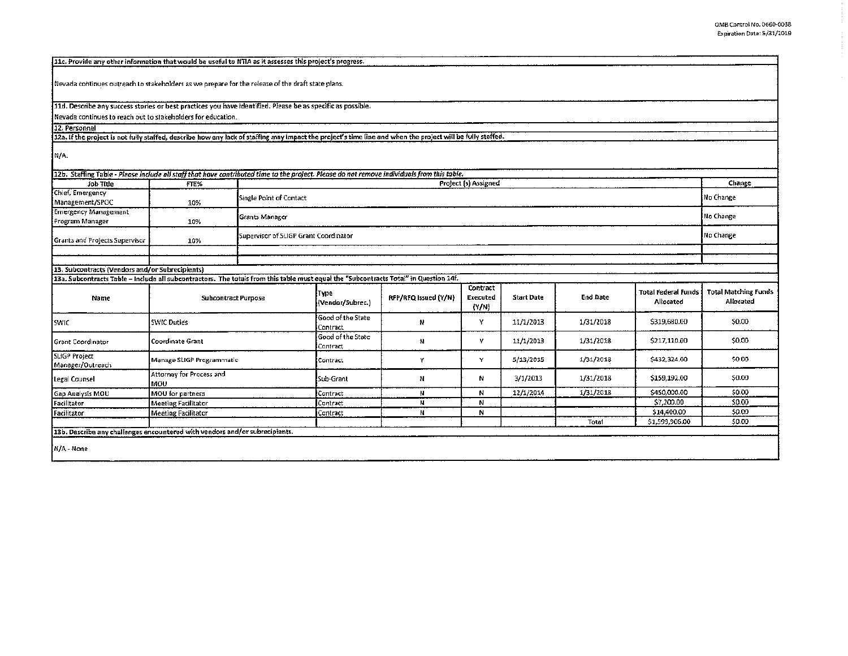$\overline{\phantom{a}}$ 

 $\sim$ 

| 11c. Provide any other information that would be useful to NTIA as it assesses this project's progress.                                                                                  |                                 |                                       |                               |                      |                      |                   |                 |                                         |                                          |
|------------------------------------------------------------------------------------------------------------------------------------------------------------------------------------------|---------------------------------|---------------------------------------|-------------------------------|----------------------|----------------------|-------------------|-----------------|-----------------------------------------|------------------------------------------|
|                                                                                                                                                                                          |                                 |                                       |                               |                      |                      |                   |                 |                                         |                                          |
| Nevada continues outreach to stakeholders as we prepare for the release of the draft state plans.                                                                                        |                                 |                                       |                               |                      |                      |                   |                 |                                         |                                          |
| 11d. Describe any success stories or best practices you have identified. Please be as specific as possible.                                                                              |                                 |                                       |                               |                      |                      |                   |                 |                                         |                                          |
| Nevada continues to reach out to stakeholders for education.                                                                                                                             |                                 |                                       |                               |                      |                      |                   |                 |                                         |                                          |
| 12. Personnel                                                                                                                                                                            |                                 |                                       |                               |                      |                      |                   |                 |                                         |                                          |
| 12a. If the project is not fully staffed, describe how any lack of staffing may impact the project's time line and when the project will be fully staffed.                               |                                 |                                       |                               |                      |                      |                   |                 |                                         |                                          |
| N/A.                                                                                                                                                                                     |                                 |                                       |                               |                      |                      |                   |                 |                                         |                                          |
| 12b. Staffing Table - Please include all staff that have contributed time to the project. Please do not remove individuals from this table.                                              |                                 |                                       |                               |                      |                      |                   |                 |                                         |                                          |
| job Title                                                                                                                                                                                | FTE%                            |                                       |                               |                      | Project (s) Assigned |                   |                 |                                         | Change                                   |
| Chief, Emergency<br>Management/SPOC                                                                                                                                                      | 10%                             | Single Point of Contact               |                               |                      |                      |                   |                 |                                         | No Change                                |
| <b>Emergency Management</b><br>Program Manager                                                                                                                                           | 10%                             | Grants Manager                        |                               |                      |                      |                   |                 |                                         | No Change                                |
| Grants and Projects Supervisor                                                                                                                                                           | 10%                             | Supervisor of SLIGP Grant Coordinator |                               |                      |                      |                   |                 |                                         | No Change                                |
|                                                                                                                                                                                          |                                 |                                       |                               |                      |                      |                   |                 |                                         |                                          |
|                                                                                                                                                                                          |                                 |                                       |                               |                      |                      |                   |                 |                                         |                                          |
| 13. Subcontracts (Vendors and/or Subrecipients)<br>13a. Subcontracts Table – Include all subcontractors. The totals from this table must equal the "Subcontracts Total" in Question 14f. |                                 |                                       |                               |                      |                      |                   |                 |                                         |                                          |
|                                                                                                                                                                                          |                                 |                                       |                               |                      | Contract             |                   |                 |                                         |                                          |
| Name                                                                                                                                                                                     | <b>Subcontract Purpose</b>      |                                       | Type<br>(Vendor/Subrec.)      | RFP/RFQ Issued (Y/N) | Executed<br>${Y/N}$  | <b>Start Date</b> | <b>End Date</b> | <b>Total Federal Funds</b><br>Allocated | <b>Total Matching Funds</b><br>Allocated |
| SWIC                                                                                                                                                                                     | <b>SWIC Duties</b>              |                                       | Good of the State<br>Contract | N                    | γ                    | 11/1/2013         | 1/31/2018       | \$319,680.00                            | \$0.00                                   |
| <b>Grant Coordinator</b>                                                                                                                                                                 | Coordinate Grant                |                                       | Good of the State<br>Contract | N                    | Y                    | 11/1/2013         | 1/31/2018       | \$217,110.00                            | \$0.00                                   |
| SLIGP Project<br>Manager/Outreach                                                                                                                                                        | Manage SLIGP Programmatic       |                                       | Contract                      | Y                    | Y                    | 5/13/2015         | 1/31/2018       | \$432,324.00                            | \$0.00                                   |
| Legal Counsel                                                                                                                                                                            | Attorney for Process and<br>MOU |                                       | Sub-Grant                     | N                    | И                    | 3/1/2013          | 1/31/2018       | \$159,192.00                            | \$0.00                                   |
| Gap Analysis MOU                                                                                                                                                                         | MOU for partners                |                                       | Contract                      | N                    | N                    | 12/1/2014         | 1/31/2018       | \$450,000.00                            | \$0.00                                   |
| Facilitator                                                                                                                                                                              | <b>Meeting Facilitator</b>      |                                       | Contract                      | N                    | И                    |                   |                 | \$7,200.00                              | \$0.00                                   |
| Facilitator                                                                                                                                                                              | <b>Meeting Facilitator</b>      |                                       | Contract                      | N                    | N                    |                   |                 | \$14,400.00                             | \$0.00                                   |
|                                                                                                                                                                                          |                                 |                                       |                               |                      |                      |                   | Total           | \$1,599,906.00                          | \$0.00                                   |
| 13b. Describe any challenges encountered with vendors and/or subrecipients.                                                                                                              |                                 |                                       |                               |                      |                      |                   |                 |                                         |                                          |
| N/A - None                                                                                                                                                                               |                                 |                                       |                               |                      |                      |                   |                 |                                         |                                          |